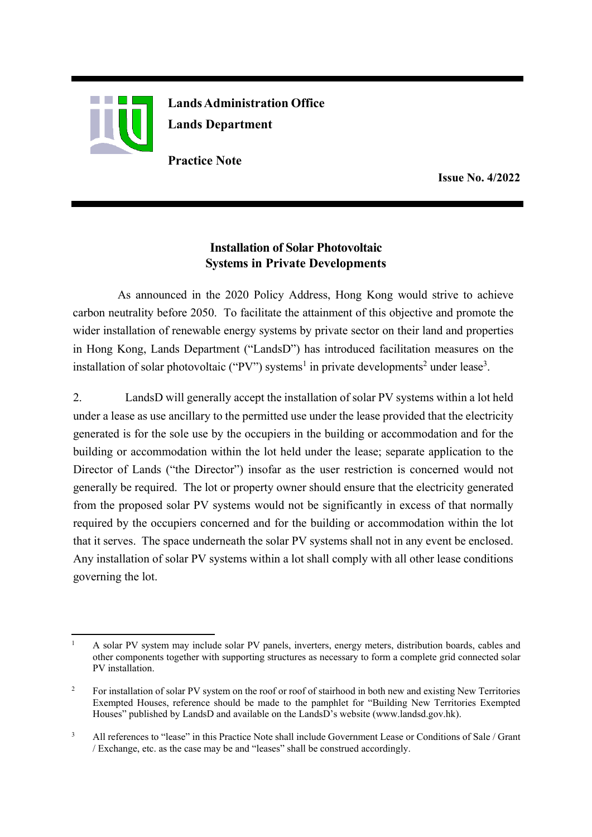

**Lands Administration Office Lands Department**

**Practice Note**

**Issue No. 4/2022**

## **Installation of Solar Photovoltaic Systems in Private Developments**

As announced in the 2020 Policy Address, Hong Kong would strive to achieve carbon neutrality before 2050. To facilitate the attainment of this objective and promote the wider installation of renewable energy systems by private sector on their land and properties in Hong Kong, Lands Department ("LandsD") has introduced facilitation measures on the installation of solar photovoltaic ("PV") systems<sup>1</sup> in private developments<sup>2</sup> under lease<sup>3</sup>.

2. LandsD will generally accept the installation of solar PV systems within a lot held under a lease as use ancillary to the permitted use under the lease provided that the electricity generated is for the sole use by the occupiers in the building or accommodation and for the building or accommodation within the lot held under the lease; separate application to the Director of Lands ("the Director") insofar as the user restriction is concerned would not generally be required. The lot or property owner should ensure that the electricity generated from the proposed solar PV systems would not be significantly in excess of that normally required by the occupiers concerned and for the building or accommodation within the lot that it serves. The space underneath the solar PV systems shall not in any event be enclosed. Any installation of solar PV systems within a lot shall comply with all other lease conditions governing the lot.

<sup>&</sup>lt;sup>1</sup> A solar PV system may include solar PV panels, inverters, energy meters, distribution boards, cables and other components together with supporting structures as necessary to form a complete grid connected solar PV installation.

<sup>&</sup>lt;sup>2</sup> For installation of solar PV system on the roof or roof of stairhood in both new and existing New Territories Exempted Houses, reference should be made to the pamphlet for "Building New Territories Exempted Houses" published by LandsD and available on the LandsD's website (www.landsd.gov.hk).

<sup>3</sup> All references to "lease" in this Practice Note shall include Government Lease or Conditions of Sale / Grant / Exchange, etc. as the case may be and "leases" shall be construed accordingly.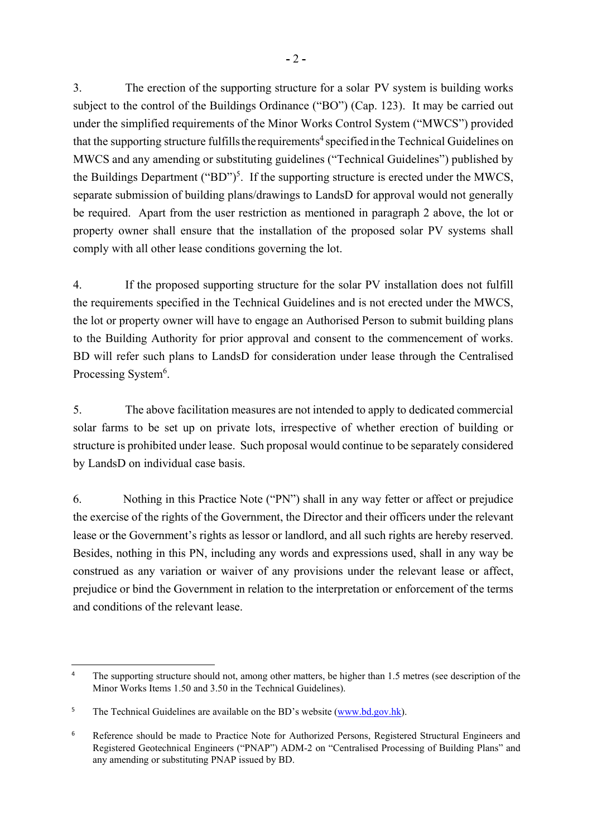3. The erection of the supporting structure for a solar PV system is building works subject to the control of the Buildings Ordinance ("BO") (Cap. 123). It may be carried out under the simplified requirements of the Minor Works Control System ("MWCS") provided that the supporting structure fulfills the requirements<sup>4</sup> specified in the Technical Guidelines on MWCS and any amending or substituting guidelines ("Technical Guidelines") published by the Buildings Department ("BD")<sup>5</sup>. If the supporting structure is erected under the MWCS, separate submission of building plans/drawings to LandsD for approval would not generally be required. Apart from the user restriction as mentioned in paragraph 2 above, the lot or property owner shall ensure that the installation of the proposed solar PV systems shall comply with all other lease conditions governing the lot.

4. If the proposed supporting structure for the solar PV installation does not fulfill the requirements specified in the Technical Guidelines and is not erected under the MWCS, the lot or property owner will have to engage an Authorised Person to submit building plans to the Building Authority for prior approval and consent to the commencement of works. BD will refer such plans to LandsD for consideration under lease through the Centralised Processing System<sup>6</sup>.

5. The above facilitation measures are not intended to apply to dedicated commercial solar farms to be set up on private lots, irrespective of whether erection of building or structure is prohibited under lease. Such proposal would continue to be separately considered by LandsD on individual case basis.

6. Nothing in this Practice Note ("PN") shall in any way fetter or affect or prejudice the exercise of the rights of the Government, the Director and their officers under the relevant lease or the Government's rights as lessor or landlord, and all such rights are hereby reserved. Besides, nothing in this PN, including any words and expressions used, shall in any way be construed as any variation or waiver of any provisions under the relevant lease or affect, prejudice or bind the Government in relation to the interpretation or enforcement of the terms and conditions of the relevant lease.

<sup>&</sup>lt;sup>4</sup> The supporting structure should not, among other matters, be higher than 1.5 metres (see description of the Minor Works Items 1.50 and 3.50 in the Technical Guidelines).

<sup>&</sup>lt;sup>5</sup> The Technical Guidelines are available on the BD's website (www.bd.gov.hk).

<sup>&</sup>lt;sup>6</sup> Reference should be made to Practice Note for Authorized Persons, Registered Structural Engineers and Registered Geotechnical Engineers ("PNAP") ADM-2 on "Centralised Processing of Building Plans" and any amending or substituting PNAP issued by BD.